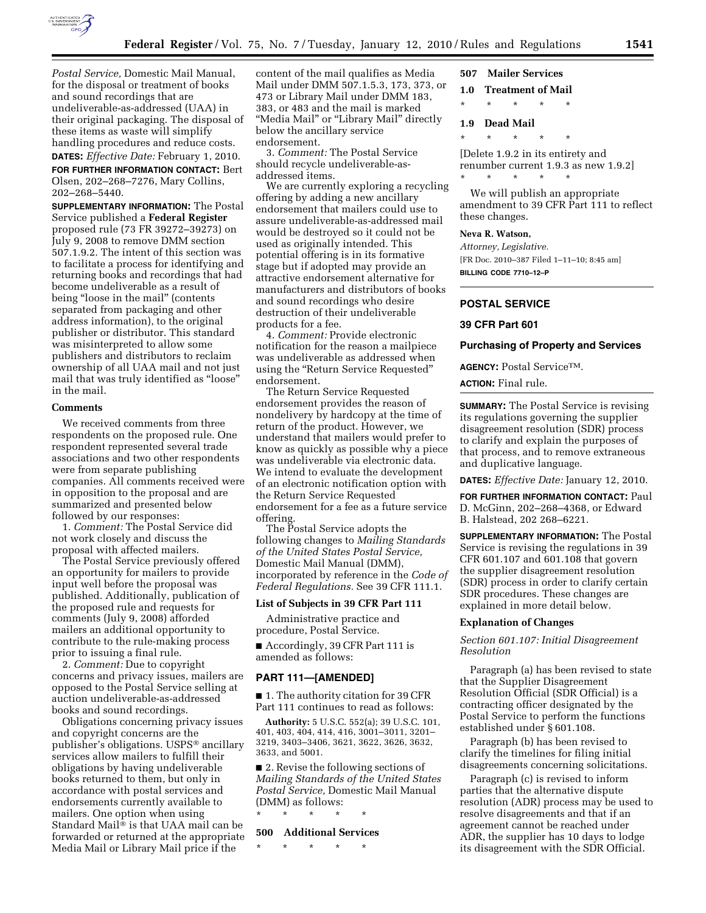

**DATES:** *Effective Date:* February 1, 2010. **FOR FURTHER INFORMATION CONTACT:** Bert Olsen, 202–268–7276, Mary Collins, 202–268–5440.

**SUPPLEMENTARY INFORMATION:** The Postal Service published a **Federal Register**  proposed rule (73 FR 39272–39273) on July 9, 2008 to remove DMM section 507.1.9.2. The intent of this section was to facilitate a process for identifying and returning books and recordings that had become undeliverable as a result of being "loose in the mail" (contents separated from packaging and other address information), to the original publisher or distributor. This standard was misinterpreted to allow some publishers and distributors to reclaim ownership of all UAA mail and not just mail that was truly identified as ''loose'' in the mail.

#### **Comments**

We received comments from three respondents on the proposed rule. One respondent represented several trade associations and two other respondents were from separate publishing companies. All comments received were in opposition to the proposal and are summarized and presented below followed by our responses:

1. *Comment:* The Postal Service did not work closely and discuss the proposal with affected mailers.

The Postal Service previously offered an opportunity for mailers to provide input well before the proposal was published. Additionally, publication of the proposed rule and requests for comments (July 9, 2008) afforded mailers an additional opportunity to contribute to the rule-making process prior to issuing a final rule.

2. *Comment:* Due to copyright concerns and privacy issues, mailers are opposed to the Postal Service selling at auction undeliverable-as-addressed books and sound recordings.

Obligations concerning privacy issues and copyright concerns are the publisher's obligations. USPS® ancillary services allow mailers to fulfill their obligations by having undeliverable books returned to them, but only in accordance with postal services and endorsements currently available to mailers. One option when using Standard Mail® is that UAA mail can be forwarded or returned at the appropriate Media Mail or Library Mail price if the

content of the mail qualifies as Media Mail under DMM 507.1.5.3, 173, 373, or 473 or Library Mail under DMM 183, 383, or 483 and the mail is marked "Media Mail" or "Library Mail" directly below the ancillary service endorsement.

3. *Comment:* The Postal Service should recycle undeliverable-asaddressed items.

We are currently exploring a recycling offering by adding a new ancillary endorsement that mailers could use to assure undeliverable-as-addressed mail would be destroyed so it could not be used as originally intended. This potential offering is in its formative stage but if adopted may provide an attractive endorsement alternative for manufacturers and distributors of books and sound recordings who desire destruction of their undeliverable products for a fee.

4. *Comment:* Provide electronic notification for the reason a mailpiece was undeliverable as addressed when using the ''Return Service Requested'' endorsement.

The Return Service Requested endorsement provides the reason of nondelivery by hardcopy at the time of return of the product. However, we understand that mailers would prefer to know as quickly as possible why a piece was undeliverable via electronic data. We intend to evaluate the development of an electronic notification option with the Return Service Requested endorsement for a fee as a future service offering.

The Postal Service adopts the following changes to *Mailing Standards of the United States Postal Service,*  Domestic Mail Manual (DMM), incorporated by reference in the *Code of Federal Regulations.* See 39 CFR 111.1.

## **List of Subjects in 39 CFR Part 111**

Administrative practice and procedure, Postal Service.

■ Accordingly, 39 CFR Part 111 is amended as follows:

#### **PART 111—[AMENDED]**

■ 1. The authority citation for 39 CFR Part 111 continues to read as follows:

**Authority:** 5 U.S.C. 552(a); 39 U.S.C. 101, 401, 403, 404, 414, 416, 3001–3011, 3201– 3219, 3403–3406, 3621, 3622, 3626, 3632, 3633, and 5001.

■ 2. Revise the following sections of *Mailing Standards of the United States Postal Service,* Domestic Mail Manual (DMM) as follows:

\* \* \* \* \*

## **500 Additional Services**

\* \* \* \* \*

# **507 Mailer Services**

- **1.0 Treatment of Mail**
- \* \* \* \* \*

#### **1.9 Dead Mail**

\* \* \* \* \*

[Delete 1.9.2 in its entirety and renumber current 1.9.3 as new 1.9.2] \* \* \* \* \*

We will publish an appropriate amendment to 39 CFR Part 111 to reflect these changes.

## **Neva R. Watson,**

*Attorney, Legislative.*  [FR Doc. 2010–387 Filed 1–11–10; 8:45 am] **BILLING CODE 7710–12–P** 

# **POSTAL SERVICE**

### **39 CFR Part 601**

#### **Purchasing of Property and Services**

**AGENCY:** Postal ServiceTM.

#### **ACTION:** Final rule.

**SUMMARY:** The Postal Service is revising its regulations governing the supplier disagreement resolution (SDR) process to clarify and explain the purposes of that process, and to remove extraneous and duplicative language.

**DATES:** *Effective Date:* January 12, 2010.

**FOR FURTHER INFORMATION CONTACT:** Paul D. McGinn, 202–268–4368, or Edward B. Halstead, 202 268–6221.

**SUPPLEMENTARY INFORMATION:** The Postal Service is revising the regulations in 39 CFR 601.107 and 601.108 that govern the supplier disagreement resolution (SDR) process in order to clarify certain SDR procedures. These changes are explained in more detail below.

#### **Explanation of Changes**

## *Section 601.107: Initial Disagreement Resolution*

Paragraph (a) has been revised to state that the Supplier Disagreement Resolution Official (SDR Official) is a contracting officer designated by the Postal Service to perform the functions established under § 601.108.

Paragraph (b) has been revised to clarify the timelines for filing initial disagreements concerning solicitations.

Paragraph (c) is revised to inform parties that the alternative dispute resolution (ADR) process may be used to resolve disagreements and that if an agreement cannot be reached under ADR, the supplier has 10 days to lodge its disagreement with the SDR Official.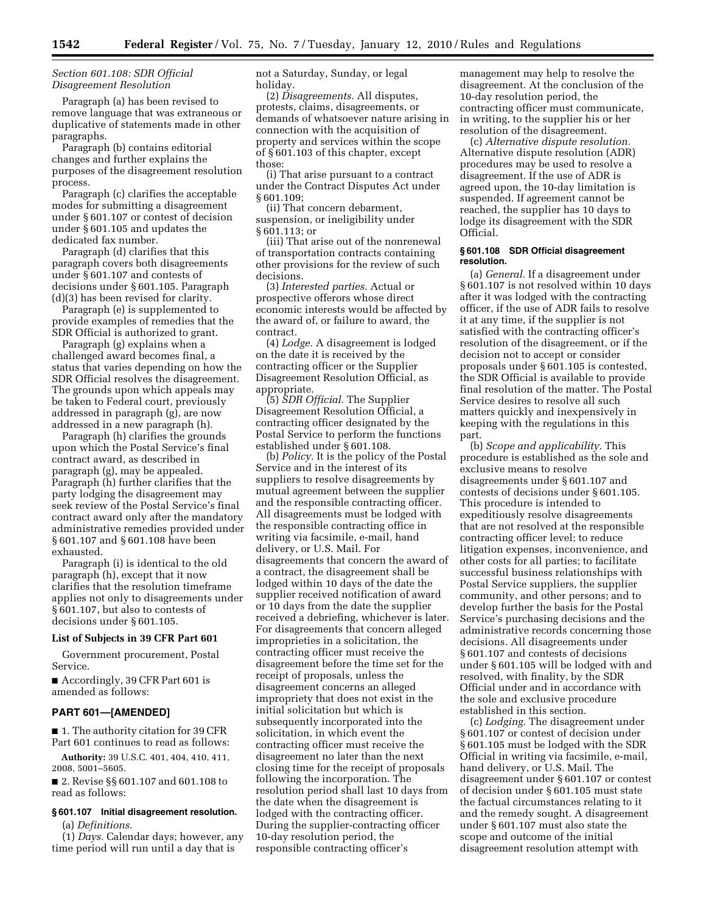# *Section 601.108: SDR Official Disagreement Resolution*

Paragraph (a) has been revised to remove language that was extraneous or duplicative of statements made in other paragraphs.

Paragraph (b) contains editorial changes and further explains the purposes of the disagreement resolution process.

Paragraph (c) clarifies the acceptable modes for submitting a disagreement under § 601.107 or contest of decision under § 601.105 and updates the dedicated fax number.

Paragraph (d) clarifies that this paragraph covers both disagreements under § 601.107 and contests of decisions under § 601.105. Paragraph (d)(3) has been revised for clarity.

Paragraph (e) is supplemented to provide examples of remedies that the SDR Official is authorized to grant.

Paragraph (g) explains when a challenged award becomes final, a status that varies depending on how the SDR Official resolves the disagreement. The grounds upon which appeals may be taken to Federal court, previously addressed in paragraph (g), are now addressed in a new paragraph (h).

Paragraph (h) clarifies the grounds upon which the Postal Service's final contract award, as described in paragraph (g), may be appealed. Paragraph (h) further clarifies that the party lodging the disagreement may seek review of the Postal Service's final contract award only after the mandatory administrative remedies provided under § 601.107 and § 601.108 have been exhausted.

Paragraph (i) is identical to the old paragraph (h), except that it now clarifies that the resolution timeframe applies not only to disagreements under § 601.107, but also to contests of decisions under § 601.105.

### **List of Subjects in 39 CFR Part 601**

Government procurement, Postal Service.

■ Accordingly, 39 CFR Part 601 is amended as follows:

#### **PART 601—[AMENDED]**

■ 1. The authority citation for 39 CFR Part 601 continues to read as follows:

**Authority:** 39 U.S.C. 401, 404, 410, 411, 2008, 5001–5605.

■ 2. Revise §§ 601.107 and 601.108 to read as follows:

# **§ 601.107 Initial disagreement resolution.**

(a) *Definitions.* 

(1) *Days.* Calendar days; however, any time period will run until a day that is

not a Saturday, Sunday, or legal holiday.

(2) *Disagreements.* All disputes, protests, claims, disagreements, or demands of whatsoever nature arising in connection with the acquisition of property and services within the scope of § 601.103 of this chapter, except those:

(i) That arise pursuant to a contract under the Contract Disputes Act under § 601.109;

(ii) That concern debarment, suspension, or ineligibility under § 601.113; or

(iii) That arise out of the nonrenewal of transportation contracts containing other provisions for the review of such decisions.

(3) *Interested parties.* Actual or prospective offerors whose direct economic interests would be affected by the award of, or failure to award, the contract.

(4) *Lodge.* A disagreement is lodged on the date it is received by the contracting officer or the Supplier Disagreement Resolution Official, as appropriate.

(5) *SDR Official.* The Supplier Disagreement Resolution Official, a contracting officer designated by the Postal Service to perform the functions established under § 601.108.

(b) *Policy.* It is the policy of the Postal Service and in the interest of its suppliers to resolve disagreements by mutual agreement between the supplier and the responsible contracting officer. All disagreements must be lodged with the responsible contracting office in writing via facsimile, e-mail, hand delivery, or U.S. Mail. For disagreements that concern the award of a contract, the disagreement shall be lodged within 10 days of the date the supplier received notification of award or 10 days from the date the supplier received a debriefing, whichever is later. For disagreements that concern alleged improprieties in a solicitation, the contracting officer must receive the disagreement before the time set for the receipt of proposals, unless the disagreement concerns an alleged impropriety that does not exist in the initial solicitation but which is subsequently incorporated into the solicitation, in which event the contracting officer must receive the disagreement no later than the next closing time for the receipt of proposals following the incorporation. The resolution period shall last 10 days from the date when the disagreement is lodged with the contracting officer. During the supplier-contracting officer 10-day resolution period, the responsible contracting officer's

management may help to resolve the disagreement. At the conclusion of the 10-day resolution period, the contracting officer must communicate, in writing, to the supplier his or her resolution of the disagreement.

(c) *Alternative dispute resolution.*  Alternative dispute resolution (ADR) procedures may be used to resolve a disagreement. If the use of ADR is agreed upon, the 10-day limitation is suspended. If agreement cannot be reached, the supplier has 10 days to lodge its disagreement with the SDR Official.

#### **§ 601.108 SDR Official disagreement resolution.**

(a) *General.* If a disagreement under § 601.107 is not resolved within 10 days after it was lodged with the contracting officer, if the use of ADR fails to resolve it at any time, if the supplier is not satisfied with the contracting officer's resolution of the disagreement, or if the decision not to accept or consider proposals under § 601.105 is contested, the SDR Official is available to provide final resolution of the matter. The Postal Service desires to resolve all such matters quickly and inexpensively in keeping with the regulations in this part.

(b) *Scope and applicability.* This procedure is established as the sole and exclusive means to resolve disagreements under § 601.107 and contests of decisions under § 601.105. This procedure is intended to expeditiously resolve disagreements that are not resolved at the responsible contracting officer level; to reduce litigation expenses, inconvenience, and other costs for all parties; to facilitate successful business relationships with Postal Service suppliers, the supplier community, and other persons; and to develop further the basis for the Postal Service's purchasing decisions and the administrative records concerning those decisions. All disagreements under § 601.107 and contests of decisions under § 601.105 will be lodged with and resolved, with finality, by the SDR Official under and in accordance with the sole and exclusive procedure established in this section.

(c) *Lodging.* The disagreement under § 601.107 or contest of decision under § 601.105 must be lodged with the SDR Official in writing via facsimile, e-mail, hand delivery, or U.S. Mail. The disagreement under § 601.107 or contest of decision under § 601.105 must state the factual circumstances relating to it and the remedy sought. A disagreement under § 601.107 must also state the scope and outcome of the initial disagreement resolution attempt with